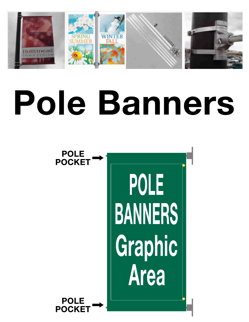

# Pole Banners

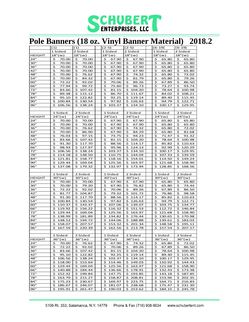

### **Pole Banners (18 oz. Vinyl Banner Material) 2018.2**

|               | (1)                    | (1)                           | $(2-5)$                | $(2-5)$                      | $(6-19)$               | $(6-19)$                     |
|---------------|------------------------|-------------------------------|------------------------|------------------------------|------------------------|------------------------------|
|               | 1 Sided                | 2 Sided                       | 1 Sided                | 2 Sided                      | 1 Sided                | 2 Sided                      |
| <b>HEIGHT</b> | $18"(\mathsf{w})$      | $18"(\mathsf{w})$             | 18" (w)                | $18"(\mathsf{w})$            | $18"(\mathsf{w})$      | 18"(w)                       |
| 24"           | \$                     | \$                            | \$                     | \$                           | \$                     | 65.80                        |
|               | 70.00                  | 70.00                         | 67.90                  | 67.90                        | 65.80                  | Ş                            |
| 30"           | \$                     | \$                            | \$                     | \$                           | \$                     | \$                           |
|               | 70.00                  | 70.00                         | 67.90                  | 67.90                        | 65.80                  | 65.80                        |
| 36"           | \$                     | \$                            | \$                     | \$                           | \$                     | \$                           |
|               | 70.00                  | 70.00                         | 67.90                  | 67.90                        | 65.80                  | 65.80                        |
| 42"           | \$                     | \$                            | \$                     | \$                           | \$                     | \$                           |
|               | 70.00                  | 70.00                         | 67.90                  | 67.90                        | 65.80                  | 65.80                        |
| 48"           | \$                     | \$                            | \$                     | \$                           | \$                     | \$                           |
|               | 70.00                  | 76.62                         | 67.90                  | 74.32                        | 65.80                  | 72.02                        |
| 54"           | \$                     | \$                            | \$                     | \$                           | \$                     | \$                           |
|               | 70.00                  | 84.32                         | 67.90                  | 81.79                        | 65.80                  | 79.26                        |
| 60"           | \$                     | \$                            | \$                     | \$                           | \$                     | \$                           |
|               | 72.22                  | 92.02                         | 70.06                  | 89.26                        | 67.89                  | 86.50                        |
| 66"           | \$                     | \$                            | \$                     | \$                           | \$                     | \$                           |
|               | 77.94                  | 99.72                         | 75.60                  | 96.73                        | 73.27                  | 93.74                        |
| 72"           | \$                     | \$                            | \$                     | \$                           | \$                     | \$                           |
|               | 83.66                  | 107.42                        | 81.15                  | 104.20                       | 78.64                  | 100.98                       |
| 78"           | \$                     | \$                            | \$                     | \$                           | \$                     | \$                           |
|               | 89.38                  | 115.12                        | 86.70                  | 111.67                       | 84.02                  | 108.21                       |
| 84"           | \$                     | \$                            | \$                     | \$                           | \$                     | \$                           |
|               | 95.10                  | 122.82                        | 92.25                  | 119.14                       | 89.40                  | 115.45                       |
| 90"           | \$                     | \$                            | \$                     | \$                           | \$                     | \$                           |
|               | 100.84                 | 130.54                        | 97.82                  | 126.63                       | 94.79                  | 122.71                       |
| 96"           | \$                     | \$                            | Ś.                     | Ś                            | Ś                      | Ś.                           |
|               | 106.56                 | 138.24                        | 103.37                 | 134.10                       | 100.17                 | 129.95                       |
|               |                        |                               |                        |                              |                        |                              |
|               | 1 Sided                | 2 Sided                       | 1 Sided                | 2 Sided                      | 1 Sided                | 2 Sided                      |
| HEIGHT        | 24" (w)                | 24''(w)                       | 24''(w)                | 24''(w)                      | 24" (w)                | 24''(w)                      |
| 24"           | \$                     | \$                            | \$                     | \$                           | 65.80                  | 65.80                        |
|               | 70.00                  | 70.00                         | 67.90                  | 67.90                        | s                      | s                            |
| 30"           | \$                     | \$                            | \$                     | \$                           | \$                     | \$                           |
|               | 70.00                  | 70.00                         | 67.90                  | 67.90                        | 65.80                  | 65.80                        |
| 36"           | \$                     | \$                            | \$                     | \$                           | \$                     | \$                           |
|               | 70.00                  | 76.62                         | 67.90                  | 74.32                        | 65.80                  | 72.02                        |
| 42"           | \$                     | \$                            | \$                     | \$                           | \$                     | \$                           |
|               | 70.00                  | 86.90                         | 67.90                  | 84.29                        | 65.80                  | 81.68                        |
| 48"           | \$                     | \$                            | \$                     | \$                           | \$                     | \$                           |
|               | 76.03                  | 97.15                         | 73.75                  | 94.23                        | 71.47                  | 91.32                        |
| 54"           | \$                     | \$                            | \$                     | 104.20                       | \$                     | \$                           |
|               | 83.66                  | 107.42                        | 81.15                  | \$                           | 78.64                  | 100.98                       |
| 60"           | \$                     | \$                            | \$                     | \$                           | \$                     | \$                           |
|               | 91.30                  | 117.70                        | 88.56                  | 114.17                       | 85.82                  | 110.63                       |
| 66"           | \$                     | \$.                           | \$                     | 124.13                       | \$                     | \$                           |
|               | 98.93                  | 127.97                        | 95.96                  | \$                           | 92.99                  | 120.29                       |
| 72"           | \$                     | \$                            | \$                     | \$                           | \$                     | \$                           |
|               | 106.56                 | 138.24                        | 103.37                 | 134.10                       | 100.17                 | 129.95                       |
| 78"           | \$                     | \$.                           | \$                     | \$                           | \$                     | S.                           |
|               | 114.18                 | 148.50                        | 110.75                 | 144.04                       | 107.33                 | 139.59                       |
| 84"           | \$<br>121.81           | \$158.77                      | Ś<br>118.16            | \$<br>154.01                 | \$<br>114.50           | \$<br>149.24                 |
| 90"           | \$                     | \$.                           | 125.56                 | \$                           | \$                     | \$                           |
|               | 129.44                 | 169.04                        | \$                     | 163.97                       | 121.68                 | 158.90                       |
| 96"           | \$                     | \$                            | 132.97                 | \$                           | 128.85                 | \$                           |
|               | 137.08                 | 179.32                        | \$                     | 173.94                       | \$                     | 168.56                       |
|               |                        |                               |                        |                              |                        |                              |
|               | 1 Sided                | 2 Sided                       | 1 Sided                | 2 Sided                      | 1 Sided                | 2 Sided                      |
| HEIGHT        | 30''(w)                | 30''(w)                       | 30''(w)                | 30''(w)                      | 30''(w)                | 30''(w)                      |
| 24"           | \$                     | \$                            | \$                     | \$                           | \$                     | \$                           |
|               | 70.00                  | 70.00                         | 67.90                  | 67.90                        | 65.80                  | 65.80                        |
| 30"           | \$                     | \$                            | Ś                      | \$                           | \$                     | \$                           |
|               | 70.00                  | 79.20                         | 67.90                  | 76.82                        | 65.80                  | 74.44                        |
| 36"           | \$                     | \$                            | \$                     | \$                           | \$                     | \$                           |
|               | 72.22                  | 92.02                         | 70.06                  | 89.26                        | 67.89                  | 86.50                        |
| 42"           | \$                     | \$                            | \$                     | \$                           | \$                     | \$                           |
|               | 81.77                  | 104.87                        | 79.32                  | 101.72                       | 76.86                  | 98.58                        |
| 48"           | \$                     | \$                            | \$                     | \$                           | \$                     | \$                           |
|               | 91.30                  | 117.70                        | 88.56                  | 114.17                       | 85.82                  | 110.63                       |
| 54"           | \$                     | \$                            | \$                     | \$                           | \$                     | \$                           |
|               | 100.84                 | 130.54                        | 97.82                  | 126.63                       | 94.79                  | 122.71                       |
| 60"           | \$                     | \$                            | \$                     | \$                           | \$                     | \$                           |
|               | 110.37                 | 143.37                        | 107.06                 | 139.07                       | 103.75                 | 134.77                       |
| 66"           | \$                     | \$.                           | \$                     | \$                           | \$                     | \$.                          |
|               | 119.92                 | 156.22                        | 116.32                 | 151.53                       | 112.72                 | 146.84                       |
| 72"           | \$<br>129.44           | \$169.04                      | Ś<br>125.56            | \$<br>163.97                 | \$<br>121.68           | \$.<br>158.90                |
| 78"<br>84"    | \$<br>138.99<br>\$     | \$.<br>181.89<br>\$<br>194.72 | \$<br>134.82<br>144.06 | \$<br>176.44                 | \$<br>130.65<br>139.61 | \$<br>170.98<br>\$<br>183.03 |
| 90"           | 148.52<br>\$<br>158.07 | \$.<br>207.57                 | \$<br>\$<br>153.32     | \$<br>188.88<br>\$<br>201.34 | \$<br>\$<br>148.58     | \$<br>195.11                 |
| 96"           |                        |                               | \$162.56               |                              | \$157.54               |                              |
|               | \$167.59               | 5220.39                       |                        | 5213.78                      |                        | \$207.17                     |
|               | 1 Sided                | 2 Sided                       | 1 Sided                | 2 Sided                      | 1 Sided                | 2 Sided                      |
| <b>HEIGHT</b> | 36"(w)                 | 36''(w)                       | 36"(w)                 | 36''(w)                      | 36''(w)                | 36"(w)                       |
| 24"           | \$.<br>70.00           | \$76.62                       | 67.90<br>\$.           | \$74.32                      | \$65.80                | \$72.02                      |
| 30"           | \$                     | \$.                           | \$                     | \$.                          | \$.                    | \$.                          |
|               | 72.22                  | 92.02                         | 70.06                  | 89.26                        | 67.89                  | 86.50                        |
| 36"           | \$<br>83.66            | \$107.42                      | \$<br>81.15            | \$104.20                     | \$.<br>78.64           | \$100.98                     |
| 42"           | \$.<br>95.10           | \$122.82                      | \$<br>92.25            | \$119.14                     | \$.<br>89.40           | \$115.45                     |
| 48"           | \$106.56               | \$138.24                      | \$103.37               | \$134.10                     | \$100.17               | \$129.95                     |
| 54"           | \$118.00               | \$153.64                      | \$114.46               | \$149.03                     | \$110.92               | \$144.43                     |
| 60"           | \$129.44               | \$169.04                      | \$125.56               | \$163.97                     | \$121.68               | \$158.90                     |
| 66"           | \$140.88               | \$184.44                      | \$136.66               | \$178.91                     | \$132.43               | \$173.38                     |
| 72"           | \$152.32               | \$199.84                      | \$<br>147.75           | \$193.85                     | \$143.18               | \$<br>187.85                 |
| 78"           | \$163.79               | \$215.27                      | \$158.87               | \$208.81                     | \$153.96               | 202.35<br>\$.                |
| 84"           | \$175.23               | \$230.67                      | \$169.97               | \$223.75                     | \$164.71               | \$216.83                     |
| 90"           | \$186.67               | \$246.07                      | \$181.07               | \$238.68                     | \$175.47               | \$231.30                     |
| 96"           | \$195.91               | \$261.47                      | \$190.03               | \$253.62                     | \$184.15               | \$245.78                     |
|               |                        |                               |                        |                              |                        |                              |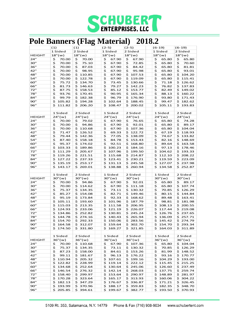

#### **Pole Banners (Flag Material) 2018.2**

|               | (1)                          | ິ<br>(1)             | $(2-5)$              | $(2-5)$              | $(6-19)$                 | $(6-19)$             |
|---------------|------------------------------|----------------------|----------------------|----------------------|--------------------------|----------------------|
|               | 1 Sided                      | 2 Sided              | 1 Sided              | 2 Sided              | 1 Sided                  | 2 Sided              |
| <b>HEIGHT</b> | $18"(\omega)$                | 18" (w)              | 18"(w)               | $18"(\mathsf{w})$    | 18" (w)                  | $18"(\mathsf{w})$    |
| 24"           |                              |                      | \$                   | \$                   |                          | 65.80                |
| 30"           | \$<br>70.00                  | \$<br>70.00<br>\$    | 67.90                | 67.90<br>\$          | \$<br>65.80<br>\$        | \$<br>\$             |
|               | \$<br>70.00                  | 75.10                | \$<br>67.90          | 72.85                | 65.80<br>65.80           | 70.60                |
| 36"           | \$<br>70.00                  | \$<br>87.03          | \$<br>67.90<br>\$    | \$<br>84.42<br>95.98 | \$                       | \$<br>81.81          |
| 42"           | \$<br>70.00                  | \$<br>98.95          | 67.90                | \$                   | \$<br>65.80              | \$<br>93.01          |
| 48"           | \$                           | \$                   | \$                   | \$                   | \$                       | \$                   |
|               | 70.00                        | 110.85               | 67.90                | 107.53               | 65.80                    | 104.20               |
| 54"           | \$                           | \$                   | \$                   | \$                   | \$                       | \$                   |
|               | 70.00                        | 122.78               | 67.90                | 119.09               | 65.80                    | 115.41               |
| 60"           | \$                           | \$                   | \$                   | \$                   | \$                       | \$                   |
|               | 75.72                        | 134.70               | 73.45                | 130.66               | 71.18                    | 126.62               |
| 66"           | \$                           | \$                   | \$                   | \$                   | \$                       | 137.83               |
|               | 81.73                        | 146.63               | 79.27                | 142.23               | 76.82                    | \$                   |
| 72"           | \$                           | \$                   | \$                   | \$                   | \$                       | \$                   |
|               | 87.75                        | 158.53               | 85.12                | 153.77               | 82.49                    | 149.02               |
| 78"           | \$                           | 170.45               | \$                   | \$                   | \$                       | \$                   |
|               | 93.76                        | \$                   | 90.95                | 165.34               | 88.13                    | 160.22               |
| 84"           | \$                           | \$                   | \$                   | \$                   | \$                       | \$                   |
|               | 99.79                        | 182.38               | 96.79                | 176.90               | 93.80                    | 171.43               |
| 90"           | \$                           | \$                   | \$                   | \$                   | \$                       | \$                   |
|               | 105.82                       | 194.28               | 102.64               | 188.45               | 99.47                    | 182.62               |
| 96"           | \$                           | \$                   | \$                   | \$                   | \$                       | \$                   |
|               | 111.82                       | 206.20               | 108.47               | 200.02               | 105.11                   | 193.83               |
|               |                              |                      |                      |                      |                          |                      |
|               | 1 Sided                      | 2 Sided              | 1 Sided              | 2 Sided              | 1 Sided                  | 2 Sided              |
| HEIGHT        | 24''(w)                      | 24''(w)              | 24" (w)              | 24" (w)              | 24" (w)                  | 24"(w)               |
| 24"           | \$                           | \$                   | \$                   | \$                   | \$                       | \$                   |
|               | 70.00                        | 79.02                | 67.90                | 76.65                | 65.80                    | 74.28                |
| 30"           | \$                           | \$                   | \$                   | \$                   | \$                       | \$                   |
|               | 70.00                        | 94.86                | 67.90                | 92.01                | 65.80                    | 89.17                |
| 36"           | \$                           | \$                   | \$                   | \$                   | \$                       | \$                   |
|               | 70.00                        | 110.68               | 67.90                | 107.36               | 65.80                    | 104.04               |
| 42"           | \$                           | 126.52               | \$                   | \$                   | \$                       | 118.93               |
|               | 71.47                        | \$                   | 69.33                | 122.72               | 67.19                    | \$                   |
| 48"           | \$                           | \$                   | \$                   | \$                   | \$                       | \$                   |
|               | 79.44                        | 142.36               | 77.05                | 138.09               | 74.67                    | 133.82               |
| 54"           | \$                           | \$                   | \$                   | \$                   | \$                       | \$                   |
|               | 87.40                        | 158.18               | 84.78                | 153.43               | 82.16                    | 148.69               |
| 60"           | \$                           | 174.02               | \$                   | \$                   | \$                       | \$                   |
|               | 95.37                        | \$                   | 92.51                | 168.80               | 89.64                    | 163.58               |
| 66"           | \$                           | \$                   | \$                   | \$                   | \$                       | \$                   |
|               | 103.33                       | 189.86               | 100.23               | 184.16               | 97.13                    | 178.46               |
| 72"           | \$                           | \$                   | \$                   | \$                   | \$                       | \$                   |
|               | 111.29                       | 205.67               | 107.96               | 199.50               | 104.62                   | 193.33               |
| 78"           | \$                           | \$                   | \$                   | \$                   | \$                       | \$                   |
|               | 119.26                       | 221.51               | 115.68               | 214.87               | 112.10                   | 208.22               |
| 84"           | \$                           | 237.33               | \$                   | \$                   | 119.59                   | \$                   |
|               | 127.22                       | \$                   | 123.41               | 230.21               | \$                       | 223.09               |
| 90"           | \$                           | \$                   | \$                   | \$                   | \$                       | \$                   |
|               | 135.19                       | 253.17               | 131.13               | 245.58               | 127.07                   | 237.98               |
| 96"           | \$                           | \$                   | \$                   | \$                   | \$                       | \$                   |
|               | 143.17                       | 269.01               | 138.88               | 260.94               | 134.58                   | 252.87               |
|               |                              |                      |                      |                      |                          |                      |
|               | 1 Sided                      | 2 Sided              | 1 Sided              | 2 Sided              | 1 Sided                  | 2 Sided              |
| HEIGHT        | 30''(w)                      | 30''(w)              | 30''(w)              | 30''(w)              | 30''(w)                  | 30"(w)               |
| 24"           | \$                           | \$                   | \$                   | \$                   | \$                       | \$                   |
|               | 70.00                        | 94.86                | 67.90                | 92.01                | 65.80                    | 89.17                |
| 30"           | \$                           | \$                   | \$                   | \$                   | \$                       | \$                   |
|               | 70.00                        | 114.62               | 67.90                | 111.18               | 65.80                    | 107.74               |
| 36"           | \$                           | \$                   | \$                   | \$                   | \$                       | \$                   |
|               | 75.37                        | 134.35               | 73.11                | 130.32               | 70.85                    | 126.29               |
| 42"           | \$                           | 154.08               | \$                   | \$                   | \$                       | \$                   |
|               | 85.27                        | \$                   | 82.71                | 149.46               | 80.15                    | 144.84               |
| 48"           | \$                           | \$                   | \$                   | \$                   | \$                       | \$                   |
|               | 95.19                        | 173.84               | 92.33                | 168.62               | 89.48                    | 163.41               |
| 54"           | \$                           | \$                   | \$                   | \$                   | \$                       | \$                   |
|               | 105.11                       | 193.60               | 101.96               | 187.79               | 98.81                    | 181.98               |
| 60"           | \$                           | 213.35               | \$                   | \$                   | \$                       | \$                   |
|               | 115.03                       | \$                   | 111.58               | 206.95               | 108.13                   | 200.55               |
| 66"           | \$                           | 233.06               | \$                   | \$                   | \$                       | \$                   |
|               | 124.93                       | \$                   | 121.19               | 226.07               | 117.44                   | 219.08               |
| 72"           | \$                           | 252.82               | \$                   | \$                   | \$                       | \$                   |
|               | 134.86                       | \$                   | 130.81               | 245.24               | 126.76                   | 237.65               |
| 78"           | \$                           | \$                   | \$                   | \$                   | \$                       | \$                   |
|               | 144.78                       | 274.16               | 140.43               | 265.94               | 136.09                   | 257.71               |
| 84"           | \$                           | \$                   | \$                   | \$                   | \$                       | \$                   |
|               | 154.70                       | 292.33               | 150.06               | 283.56               | 145.42                   | 274.79               |
| 90"           | \$                           | \$                   | \$                   | \$                   | \$                       | \$                   |
|               | 164.58                       | 312.07               | 159.64               | 302.70               | 154.70                   | 293.34               |
| 96"           | \$174.50                     |                      |                      |                      | \$164.03                 |                      |
|               |                              | \$331.80             | \$<br>169.27         | \$ 321.85            |                          | \$ 311.89            |
|               | 1 Sided                      | 2 Sided              | 1 Sided              | 2 Sided              | 1 Sided                  | 2 Sided              |
|               |                              |                      |                      |                      |                          |                      |
| HEIGHT        | 36''(w)                      | 36''(w)              | 36"(w)               | 36''(w)              | 36''(w)                  | 36''(w)              |
| 24"           | 70.00<br>\$                  | \$110.68             | 67.90<br>\$          | \$107.36             | \$<br>65.80              | \$104.04             |
| 30"           | \$<br>75.37                  | \$134.35             | 73.11<br>\$          | \$130.32             | \$<br>70.85              | \$126.29             |
| 36"           | \$<br>87.23                  | \$158.00             | \$<br>84.61          | \$153.26             | \$<br>81.99              | \$148.52             |
| 42"           | \$<br>99.11                  | \$181.67             | \$<br>96.13          | \$176.22             | \$<br>93.16              | \$170.77             |
| 48"           | \$110.94                     | \$205.32             | \$107.61             | \$199.16             | \$104.29                 | \$193.00             |
| 54"           | \$<br>122.82                 | \$228.99             | \$.<br>119.14        | \$222.12             | \$115.45                 | \$215.25             |
| 60"           | \$<br>134.68                 | \$252.64             | \$130.64             | \$245.06             | \$126.60                 | \$237.49             |
| 66"           | 146.54<br>\$                 | \$276.32             | \$142.14             | \$268.03             | \$137.75                 | \$259.74             |
| 72"           | 158.40<br>\$                 | \$299.97             | \$153.64             | \$290.97             | \$148.89                 | \$281.97             |
| 78"           | \$<br>170.28                 | 323.64<br>\$.        | \$<br>165.17         | \$.<br>313.93        | \$160.06                 | \$304.22             |
|               |                              |                      |                      |                      |                          |                      |
| 84"           | \$<br>182.13                 | \$347.29             | \$176.67             | \$336.87             | \$171.21                 | \$326.45             |
| 90"<br>96"    | 193.99<br>\$<br>205.85<br>\$ | \$370.96<br>\$394.61 | \$188.17<br>\$199.67 | \$359.83<br>\$382.77 | 182.35<br>\$<br>\$193.50 | \$348.70<br>\$370.93 |